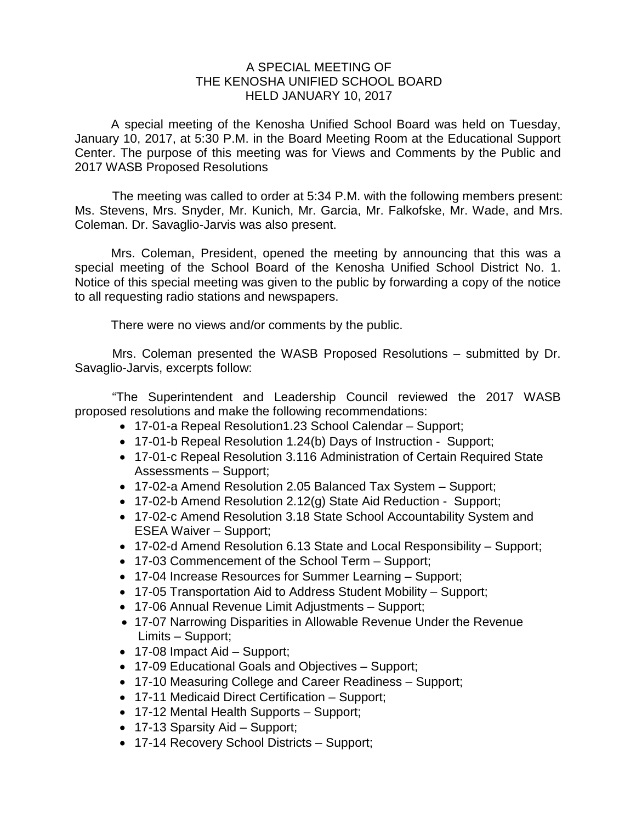## A SPECIAL MEETING OF THE KENOSHA UNIFIED SCHOOL BOARD HELD JANUARY 10, 2017

A special meeting of the Kenosha Unified School Board was held on Tuesday, January 10, 2017, at 5:30 P.M. in the Board Meeting Room at the Educational Support Center. The purpose of this meeting was for Views and Comments by the Public and 2017 WASB Proposed Resolutions

The meeting was called to order at 5:34 P.M. with the following members present: Ms. Stevens, Mrs. Snyder, Mr. Kunich, Mr. Garcia, Mr. Falkofske, Mr. Wade, and Mrs. Coleman. Dr. Savaglio-Jarvis was also present.

Mrs. Coleman, President, opened the meeting by announcing that this was a special meeting of the School Board of the Kenosha Unified School District No. 1. Notice of this special meeting was given to the public by forwarding a copy of the notice to all requesting radio stations and newspapers.

There were no views and/or comments by the public.

Mrs. Coleman presented the WASB Proposed Resolutions – submitted by Dr. Savaglio-Jarvis, excerpts follow:

"The Superintendent and Leadership Council reviewed the 2017 WASB proposed resolutions and make the following recommendations:

- 17-01-a Repeal Resolution1.23 School Calendar Support;
- 17-01-b Repeal Resolution 1.24(b) Days of Instruction Support;
- 17-01-c Repeal Resolution 3.116 Administration of Certain Required State Assessments – Support;
- 17-02-a Amend Resolution 2.05 Balanced Tax System Support;
- 17-02-b Amend Resolution 2.12(g) State Aid Reduction Support;
- 17-02-c Amend Resolution 3.18 State School Accountability System and ESEA Waiver – Support;
- 17-02-d Amend Resolution 6.13 State and Local Responsibility Support;
- 17-03 Commencement of the School Term Support;
- 17-04 Increase Resources for Summer Learning Support;
- 17-05 Transportation Aid to Address Student Mobility Support;
- 17-06 Annual Revenue Limit Adjustments Support;
- 17-07 Narrowing Disparities in Allowable Revenue Under the Revenue Limits – Support;
- 17-08 Impact Aid Support;
- 17-09 Educational Goals and Objectives Support;
- 17-10 Measuring College and Career Readiness Support;
- 17-11 Medicaid Direct Certification Support;
- 17-12 Mental Health Supports Support;
- 17-13 Sparsity Aid Support;
- 17-14 Recovery School Districts Support;